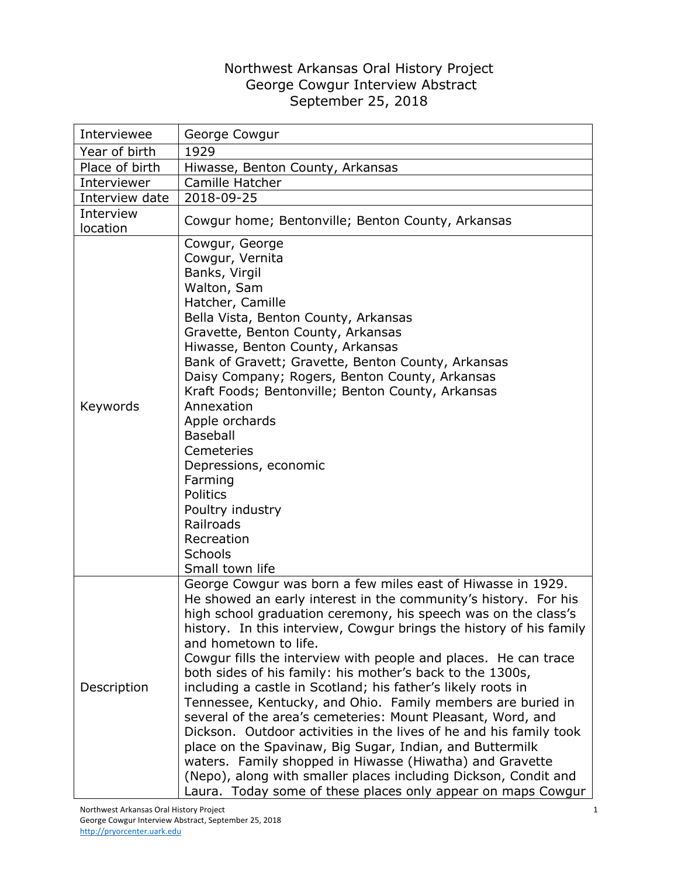## Northwest Arkansas Oral History Project George Cowgur Interview Abstract September 25, 2018

| Interviewee           | George Cowgur                                                                                                                                                                                                                                                                                                                                                                                                                                                                                                                                                                                                                                                                                                                                                                                                                                                                                                                                                   |
|-----------------------|-----------------------------------------------------------------------------------------------------------------------------------------------------------------------------------------------------------------------------------------------------------------------------------------------------------------------------------------------------------------------------------------------------------------------------------------------------------------------------------------------------------------------------------------------------------------------------------------------------------------------------------------------------------------------------------------------------------------------------------------------------------------------------------------------------------------------------------------------------------------------------------------------------------------------------------------------------------------|
| Year of birth         | 1929                                                                                                                                                                                                                                                                                                                                                                                                                                                                                                                                                                                                                                                                                                                                                                                                                                                                                                                                                            |
| Place of birth        | Hiwasse, Benton County, Arkansas                                                                                                                                                                                                                                                                                                                                                                                                                                                                                                                                                                                                                                                                                                                                                                                                                                                                                                                                |
| Interviewer           | Camille Hatcher                                                                                                                                                                                                                                                                                                                                                                                                                                                                                                                                                                                                                                                                                                                                                                                                                                                                                                                                                 |
| Interview date        | 2018-09-25                                                                                                                                                                                                                                                                                                                                                                                                                                                                                                                                                                                                                                                                                                                                                                                                                                                                                                                                                      |
| Interview<br>location | Cowgur home; Bentonville; Benton County, Arkansas                                                                                                                                                                                                                                                                                                                                                                                                                                                                                                                                                                                                                                                                                                                                                                                                                                                                                                               |
| Keywords              | Cowgur, George<br>Cowgur, Vernita<br>Banks, Virgil<br>Walton, Sam<br>Hatcher, Camille<br>Bella Vista, Benton County, Arkansas<br>Gravette, Benton County, Arkansas<br>Hiwasse, Benton County, Arkansas<br>Bank of Gravett; Gravette, Benton County, Arkansas<br>Daisy Company; Rogers, Benton County, Arkansas<br>Kraft Foods; Bentonville; Benton County, Arkansas<br>Annexation<br>Apple orchards<br><b>Baseball</b><br>Cemeteries<br>Depressions, economic<br>Farming<br>Politics<br>Poultry industry<br>Railroads<br>Recreation<br>Schools<br>Small town life                                                                                                                                                                                                                                                                                                                                                                                               |
| Description           | George Cowgur was born a few miles east of Hiwasse in 1929.<br>He showed an early interest in the community's history. For his<br>high school graduation ceremony, his speech was on the class's<br>history. In this interview, Cowgur brings the history of his family<br>and hometown to life.<br>Cowgur fills the interview with people and places. He can trace<br>both sides of his family: his mother's back to the 1300s,<br>including a castle in Scotland; his father's likely roots in<br>Tennessee, Kentucky, and Ohio. Family members are buried in<br>several of the area's cemeteries: Mount Pleasant, Word, and<br>Dickson. Outdoor activities in the lives of he and his family took<br>place on the Spavinaw, Big Sugar, Indian, and Buttermilk<br>waters. Family shopped in Hiwasse (Hiwatha) and Gravette<br>(Nepo), along with smaller places including Dickson, Condit and<br>Laura. Today some of these places only appear on maps Cowgur |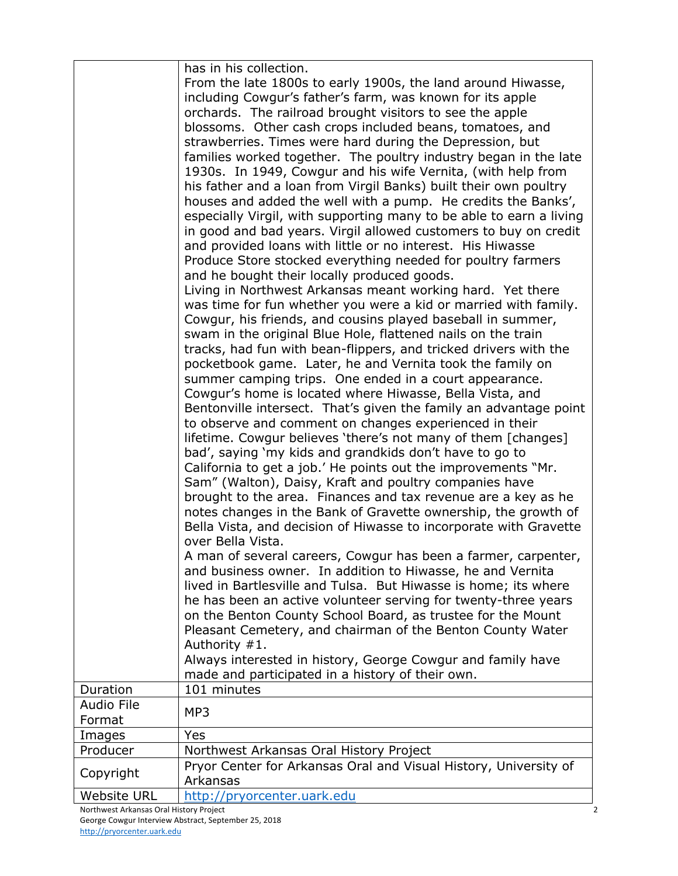|                                         | has in his collection.                                                                                                            |  |
|-----------------------------------------|-----------------------------------------------------------------------------------------------------------------------------------|--|
|                                         | From the late 1800s to early 1900s, the land around Hiwasse,                                                                      |  |
|                                         | including Cowgur's father's farm, was known for its apple                                                                         |  |
|                                         | orchards. The railroad brought visitors to see the apple                                                                          |  |
|                                         | blossoms. Other cash crops included beans, tomatoes, and                                                                          |  |
|                                         | strawberries. Times were hard during the Depression, but                                                                          |  |
|                                         | families worked together. The poultry industry began in the late<br>1930s. In 1949, Cowgur and his wife Vernita, (with help from  |  |
|                                         | his father and a loan from Virgil Banks) built their own poultry                                                                  |  |
|                                         | houses and added the well with a pump. He credits the Banks',                                                                     |  |
|                                         | especially Virgil, with supporting many to be able to earn a living                                                               |  |
|                                         | in good and bad years. Virgil allowed customers to buy on credit                                                                  |  |
|                                         | and provided loans with little or no interest. His Hiwasse                                                                        |  |
|                                         | Produce Store stocked everything needed for poultry farmers                                                                       |  |
|                                         | and he bought their locally produced goods.                                                                                       |  |
|                                         | Living in Northwest Arkansas meant working hard. Yet there                                                                        |  |
|                                         | was time for fun whether you were a kid or married with family.                                                                   |  |
|                                         | Cowgur, his friends, and cousins played baseball in summer,<br>swam in the original Blue Hole, flattened nails on the train       |  |
|                                         | tracks, had fun with bean-flippers, and tricked drivers with the                                                                  |  |
|                                         | pocketbook game. Later, he and Vernita took the family on                                                                         |  |
|                                         | summer camping trips. One ended in a court appearance.                                                                            |  |
|                                         | Cowgur's home is located where Hiwasse, Bella Vista, and                                                                          |  |
|                                         | Bentonville intersect. That's given the family an advantage point                                                                 |  |
|                                         | to observe and comment on changes experienced in their                                                                            |  |
|                                         | lifetime. Cowgur believes 'there's not many of them [changes]<br>bad', saying 'my kids and grandkids don't have to go to          |  |
|                                         | California to get a job.' He points out the improvements "Mr.                                                                     |  |
|                                         | Sam" (Walton), Daisy, Kraft and poultry companies have                                                                            |  |
|                                         | brought to the area. Finances and tax revenue are a key as he                                                                     |  |
|                                         | notes changes in the Bank of Gravette ownership, the growth of                                                                    |  |
|                                         | Bella Vista, and decision of Hiwasse to incorporate with Gravette                                                                 |  |
|                                         | over Bella Vista.                                                                                                                 |  |
|                                         | A man of several careers, Cowgur has been a farmer, carpenter,                                                                    |  |
|                                         | and business owner. In addition to Hiwasse, he and Vernita                                                                        |  |
|                                         | lived in Bartlesville and Tulsa. But Hiwasse is home; its where<br>he has been an active volunteer serving for twenty-three years |  |
|                                         | on the Benton County School Board, as trustee for the Mount                                                                       |  |
|                                         | Pleasant Cemetery, and chairman of the Benton County Water                                                                        |  |
|                                         | Authority #1.                                                                                                                     |  |
|                                         | Always interested in history, George Cowgur and family have                                                                       |  |
|                                         | made and participated in a history of their own.                                                                                  |  |
| Duration                                | 101 minutes                                                                                                                       |  |
| <b>Audio File</b>                       | MP3                                                                                                                               |  |
| Format<br>Images                        | Yes                                                                                                                               |  |
| Producer                                | Northwest Arkansas Oral History Project                                                                                           |  |
|                                         | Pryor Center for Arkansas Oral and Visual History, University of                                                                  |  |
| Copyright                               | Arkansas                                                                                                                          |  |
| <b>Website URL</b>                      | http://pryorcenter.uark.edu                                                                                                       |  |
| Northwest Arkansas Oral History Project |                                                                                                                                   |  |